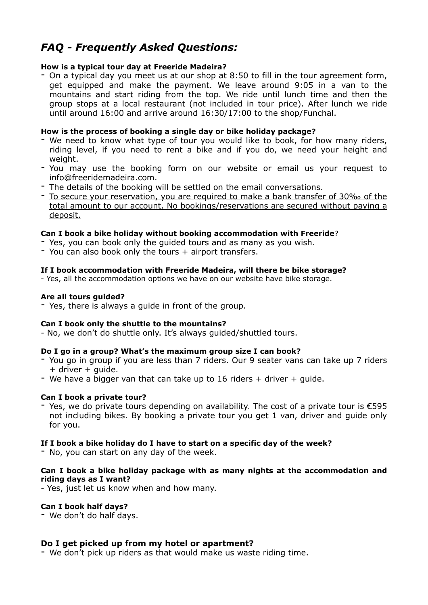# *FAQ - Frequently Asked Questions:*

#### **How is a typical tour day at Freeride Madeira?**

- On a typical day you meet us at our shop at 8:50 to fill in the tour agreement form, get equipped and make the payment. We leave around 9:05 in a van to the mountains and start riding from the top. We ride until lunch time and then the group stops at a local restaurant (not included in tour price). After lunch we ride until around 16:00 and arrive around 16:30/17:00 to the shop/Funchal.

## **How is the process of booking a single day or bike holiday package?**

- We need to know what type of tour you would like to book, for how many riders, riding level, if you need to rent a bike and if you do, we need your height and weight.
- You may use the booking form on our website or email us your request to [info@freeridemadeira.com.](mailto:info@freeridemadeira.com)
- The details of the booking will be settled on the email conversations.
- To secure your reservation, you are required to make a bank transfer of 30‰ of the total amount to our account. No bookings/reservations are secured without paying a deposit.

#### **Can I book a bike holiday without booking accommodation with Freeride**?

- Yes, you can book only the guided tours and as many as you wish.
- You can also book only the tours + airport transfers.

#### **If I book accommodation with Freeride Madeira, will there be bike storage?**

- Yes, all the accommodation options we have on our website have bike storage.

#### **Are all tours guided?**

- Yes, there is always a guide in front of the group.

#### **Can I book only the shuttle to the mountains?**

- No, we don't do shuttle only. It's always guided/shuttled tours.

#### **Do I go in a group? What's the maximum group size I can book?**

- You go in group if you are less than 7 riders. Our 9 seater vans can take up 7 riders + driver + guide.
- We have a bigger van that can take up to 16 riders  $+$  driver  $+$  guide.

#### **Can I book a private tour?**

- Yes, we do private tours depending on availability. The cost of a private tour is €595 not including bikes. By booking a private tour you get 1 van, driver and guide only for you.

#### **If I book a bike holiday do I have to start on a specific day of the week?**

- No, you can start on any day of the week.

#### **Can I book a bike holiday package with as many nights at the accommodation and riding days as I want?**

- Yes, just let us know when and how many.

#### **Can I book half days?**

- We don't do half days.

#### **Do I get picked up from my hotel or apartment?**

- We don't pick up riders as that would make us waste riding time.